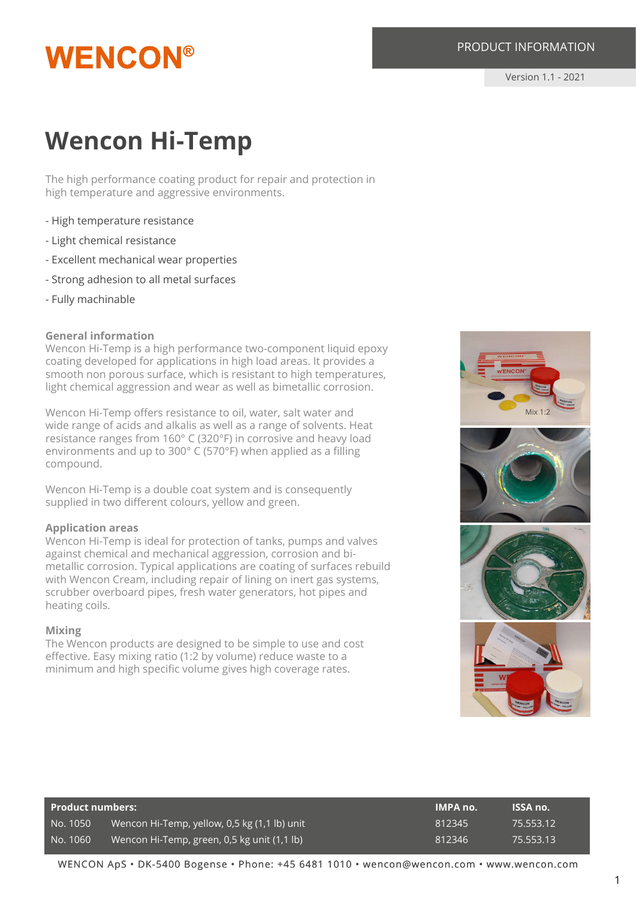## **WENCON®**

Version 1.1 - 2021

### **Wencon Hi-Temp**

The high performance coating product for repair and protection in high temperature and aggressive environments.

- High temperature resistance
- Light chemical resistance
- Excellent mechanical wear properties
- Strong adhesion to all metal surfaces
- Fully machinable

#### **General information**

Wencon Hi-Temp is a high performance two-component liquid epoxy coating developed for applications in high load areas. It provides a smooth non porous surface, which is resistant to high temperatures, light chemical aggression and wear as well as bimetallic corrosion.

Wencon Hi-Temp offers resistance to oil, water, salt water and wide range of acids and alkalis as well as a range of solvents. Heat resistance ranges from 160° C (320°F) in corrosive and heavy load environments and up to 300° C (570°F) when applied as a filling compound.

Wencon Hi-Temp is a double coat system and is consequently supplied in two different colours, yellow and green.

#### **Application areas**

Wencon Hi-Temp is ideal for protection of tanks, pumps and valves against chemical and mechanical aggression, corrosion and bimetallic corrosion. Typical applications are coating of surfaces rebuild with Wencon Cream, including repair of lining on inert gas systems, scrubber overboard pipes, fresh water generators, hot pipes and heating coils.

#### **Mixing**

The Wencon products are designed to be simple to use and cost effective. Easy mixing ratio (1:2 by volume) reduce waste to a minimum and high specific volume gives high coverage rates.



| <b>Product numbers:</b> |                                              | <b>IMPA no.</b> | ISSA no.  |
|-------------------------|----------------------------------------------|-----------------|-----------|
| No. 1050                | Wencon Hi-Temp, yellow, 0,5 kg (1,1 lb) unit | 812345          | 75.553.12 |
| No. 1060                | Wencon Hi-Temp, green, 0,5 kg unit (1,1 lb)  | 812346          | 75.553.13 |

WENCON ApS • DK-5400 Bogense • Phone: +45 6481 1010 • wencon@wencon.com • www.wencon.com